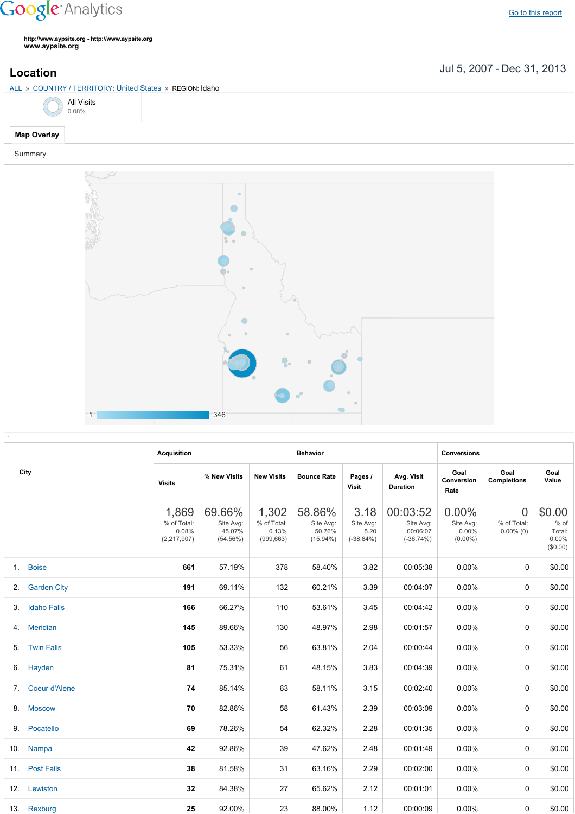## **Google** Analytics

**http://www.aypsite.org http://www.aypsite.org www.aypsite.org**

ALL » COUNTRY / TERRITORY: United States » REGION: Idaho

Jul 5, 2007 Dec 31, 2013 **Location**



|    |                    | <b>Acquisition</b>                             |                                              |                                             | <b>Behavior</b>                              |                                           |                                                  | <b>Conversions</b>                           |                                               |                                                  |
|----|--------------------|------------------------------------------------|----------------------------------------------|---------------------------------------------|----------------------------------------------|-------------------------------------------|--------------------------------------------------|----------------------------------------------|-----------------------------------------------|--------------------------------------------------|
|    | City               | <b>Visits</b>                                  | % New Visits                                 | <b>New Visits</b>                           | <b>Bounce Rate</b>                           | Pages /<br><b>Visit</b>                   | Avg. Visit<br><b>Duration</b>                    | Goal<br>Conversion<br>Rate                   | Goal<br><b>Completions</b>                    | Goal<br>Value                                    |
|    |                    | 1,869<br>% of Total:<br>0.08%<br>(2, 217, 907) | 69.66%<br>Site Avg:<br>45.07%<br>$(54.56\%)$ | 1,302<br>% of Total:<br>0.13%<br>(999, 663) | 58.86%<br>Site Avg:<br>50.76%<br>$(15.94\%)$ | 3.18<br>Site Avg:<br>5.20<br>$(-38.84\%)$ | 00:03:52<br>Site Avg:<br>00:06:07<br>$(-36.74%)$ | $0.00\%$<br>Site Avg:<br>0.00%<br>$(0.00\%)$ | $\overline{0}$<br>% of Total:<br>$0.00\%$ (0) | \$0.00<br>% of<br>Total:<br>$0.00\%$<br>(\$0.00) |
|    | 1. Boise           | 661                                            | 57.19%                                       | 378                                         | 58.40%                                       | 3.82                                      | 00:05:38                                         | 0.00%                                        | 0                                             | \$0.00                                           |
|    | 2. Garden City     | 191                                            | 69.11%                                       | 132                                         | 60.21%                                       | 3.39                                      | 00:04:07                                         | 0.00%                                        | $\Omega$                                      | \$0.00                                           |
| 3. | <b>Idaho Falls</b> | 166                                            | 66.27%                                       | 110                                         | 53.61%                                       | 3.45                                      | 00:04:42                                         | 0.00%                                        | 0                                             | \$0.00                                           |
|    | 4. Meridian        | 145                                            | 89.66%                                       | 130                                         | 48.97%                                       | 2.98                                      | 00:01:57                                         | 0.00%                                        | 0                                             | \$0.00                                           |
|    | 5. Twin Falls      | 105                                            | 53.33%                                       | 56                                          | 63.81%                                       | 2.04                                      | 00:00:44                                         | 0.00%                                        | 0                                             | \$0.00                                           |
|    | 6. Hayden          | 81                                             | 75.31%                                       | 61                                          | 48.15%                                       | 3.83                                      | 00:04:39                                         | 0.00%                                        | 0                                             | \$0.00                                           |
|    | 7. Coeur d'Alene   | 74                                             | 85.14%                                       | 63                                          | 58.11%                                       | 3.15                                      | 00:02:40                                         | 0.00%                                        | 0                                             | \$0.00                                           |
|    | 8. Moscow          | 70                                             | 82.86%                                       | 58                                          | 61.43%                                       | 2.39                                      | 00:03:09                                         | 0.00%                                        | 0                                             | \$0.00                                           |
|    | 9. Pocatello       | 69                                             | 78.26%                                       | 54                                          | 62.32%                                       | 2.28                                      | 00:01:35                                         | 0.00%                                        | 0                                             | \$0.00                                           |
|    | 10. Nampa          | 42                                             | 92.86%                                       | 39                                          | 47.62%                                       | 2.48                                      | 00:01:49                                         | 0.00%                                        | 0                                             | \$0.00                                           |
|    | 11. Post Falls     | 38                                             | 81.58%                                       | 31                                          | 63.16%                                       | 2.29                                      | 00:02:00                                         | 0.00%                                        | 0                                             | \$0.00                                           |
|    | 12. Lewiston       | 32                                             | 84.38%                                       | 27                                          | 65.62%                                       | 2.12                                      | 00:01:01                                         | 0.00%                                        | 0                                             | \$0.00                                           |
|    | 13. Rexburg        | 25                                             | 92.00%                                       | 23                                          | 88.00%                                       | 1.12                                      | 00:00:09                                         | 0.00%                                        | 0                                             | \$0.00                                           |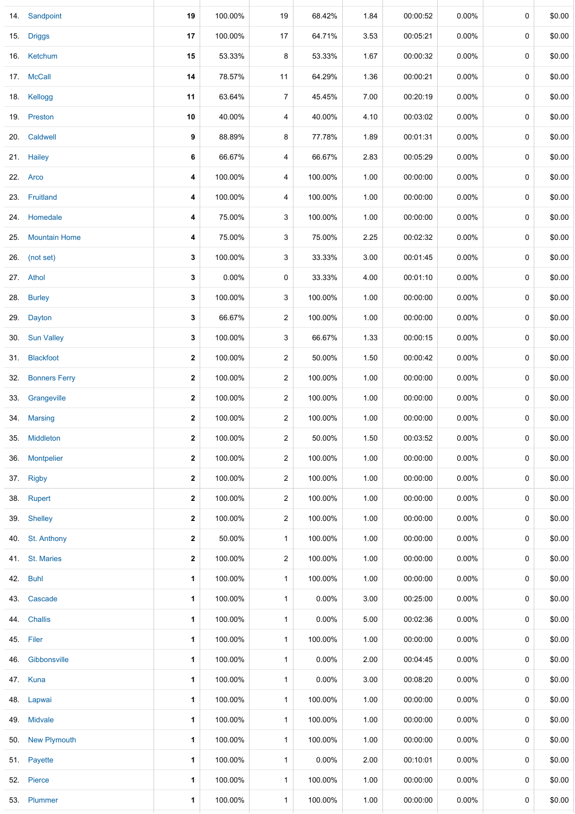|     | 14. Sandpoint       | 19               | 100.00% | 19             | 68.42%   | 1.84 | 00:00:52 | $0.00\%$ | 0           | \$0.00 |
|-----|---------------------|------------------|---------|----------------|----------|------|----------|----------|-------------|--------|
|     | 15. Driggs          | 17               | 100.00% | 17             | 64.71%   | 3.53 | 00:05:21 | $0.00\%$ | 0           | \$0.00 |
|     | 16. Ketchum         | 15               | 53.33%  | 8              | 53.33%   | 1.67 | 00:00:32 | 0.00%    | 0           | \$0.00 |
|     | 17. McCall          | 14               | 78.57%  | 11             | 64.29%   | 1.36 | 00:00:21 | $0.00\%$ | 0           | \$0.00 |
|     | 18. Kellogg         | 11               | 63.64%  | $\overline{7}$ | 45.45%   | 7.00 | 00:20:19 | 0.00%    | 0           | \$0.00 |
|     | 19. Preston         | 10               | 40.00%  | 4              | 40.00%   | 4.10 | 00:03:02 | 0.00%    | 0           | \$0.00 |
|     | 20. Caldwell        | 9                | 88.89%  | 8              | 77.78%   | 1.89 | 00:01:31 | 0.00%    | 0           | \$0.00 |
|     | 21. Hailey          | 6                | 66.67%  | 4              | 66.67%   | 2.83 | 00:05:29 | $0.00\%$ | 0           | \$0.00 |
|     | 22. Arco            | 4                | 100.00% | 4              | 100.00%  | 1.00 | 00:00:00 | 0.00%    | 0           | \$0.00 |
|     | 23. Fruitland       | 4                | 100.00% | 4              | 100.00%  | 1.00 | 00:00:00 | $0.00\%$ | 0           | \$0.00 |
|     | 24. Homedale        | 4                | 75.00%  | 3              | 100.00%  | 1.00 | 00:00:00 | 0.00%    | $\mathbf 0$ | \$0.00 |
|     | 25. Mountain Home   | 4                | 75.00%  | 3              | 75.00%   | 2.25 | 00:02:32 | $0.00\%$ | 0           | \$0.00 |
|     | 26. (not set)       | 3                | 100.00% | 3              | 33.33%   | 3.00 | 00:01:45 | $0.00\%$ | 0           | \$0.00 |
|     | 27. Athol           | 3                | 0.00%   | 0              | 33.33%   | 4.00 | 00:01:10 | 0.00%    | 0           | \$0.00 |
|     | 28. Burley          | 3                | 100.00% | 3              | 100.00%  | 1.00 | 00:00:00 | $0.00\%$ | 0           | \$0.00 |
| 29. | Dayton              | 3                | 66.67%  | $\overline{2}$ | 100.00%  | 1.00 | 00:00:00 | 0.00%    | 0           | \$0.00 |
|     | 30. Sun Valley      | 3                | 100.00% | 3              | 66.67%   | 1.33 | 00:00:15 | $0.00\%$ | 0           | \$0.00 |
|     | 31. Blackfoot       | $\mathbf{2}$     | 100.00% | $\overline{2}$ | 50.00%   | 1.50 | 00:00:42 | 0.00%    | 0           | \$0.00 |
|     | 32. Bonners Ferry   | $\boldsymbol{2}$ | 100.00% | $\overline{2}$ | 100.00%  | 1.00 | 00:00:00 | $0.00\%$ | $\mathbf 0$ | \$0.00 |
|     | 33. Grangeville     | $\mathbf{2}$     | 100.00% | $\overline{2}$ | 100.00%  | 1.00 | 00:00:00 | $0.00\%$ | 0           | \$0.00 |
|     | 34. Marsing         | $\mathbf 2$      | 100.00% | $\overline{2}$ | 100.00%  | 1.00 | 00:00:00 | $0.00\%$ | 0           | \$0.00 |
|     | 35. Middleton       | $\bf 2$          | 100.00% | $\overline{c}$ | 50.00%   | 1.50 | 00:03:52 | $0.00\%$ | 0           | \$0.00 |
| 36. | Montpelier          | $\boldsymbol{2}$ | 100.00% | $\overline{c}$ | 100.00%  | 1.00 | 00:00:00 | $0.00\%$ | 0           | \$0.00 |
|     | 37. Rigby           | $\boldsymbol{2}$ | 100.00% | $\overline{c}$ | 100.00%  | 1.00 | 00:00:00 | $0.00\%$ | 0           | \$0.00 |
|     | 38. Rupert          | $\mathbf{2}$     | 100.00% | $\overline{2}$ | 100.00%  | 1.00 | 00:00:00 | $0.00\%$ | 0           | \$0.00 |
|     | 39. Shelley         | $\boldsymbol{2}$ | 100.00% | 2              | 100.00%  | 1.00 | 00:00:00 | $0.00\%$ | 0           | \$0.00 |
|     | 40. St. Anthony     | $\mathbf{2}$     | 50.00%  | $\mathbf{1}$   | 100.00%  | 1.00 | 00:00:00 | $0.00\%$ | 0           | \$0.00 |
|     | 41. St. Maries      | $\mathbf{2}$     | 100.00% | 2              | 100.00%  | 1.00 | 00:00:00 | 0.00%    | 0           | \$0.00 |
| 42. | <b>Buhl</b>         | 1                | 100.00% | $\mathbf{1}$   | 100.00%  | 1.00 | 00:00:00 | $0.00\%$ | 0           | \$0.00 |
| 43. | Cascade             | 1                | 100.00% | $\mathbf{1}$   | $0.00\%$ | 3.00 | 00:25:00 | $0.00\%$ | 0           | \$0.00 |
| 44. | <b>Challis</b>      | 1                | 100.00% | $\mathbf{1}$   | $0.00\%$ | 5.00 | 00:02:36 | 0.00%    | 0           | \$0.00 |
|     | 45. Filer           | 1                | 100.00% | $\mathbf{1}$   | 100.00%  | 1.00 | 00:00:00 | 0.00%    | 0           | \$0.00 |
| 46. | Gibbonsville        | 1                | 100.00% | $\mathbf{1}$   | $0.00\%$ | 2.00 | 00:04:45 | $0.00\%$ | 0           | \$0.00 |
|     | 47. Kuna            | 1                | 100.00% | $\mathbf{1}$   | 0.00%    | 3.00 | 00:08:20 | $0.00\%$ | 0           | \$0.00 |
|     | 48. Lapwai          | 1                | 100.00% | $\mathbf{1}$   | 100.00%  | 1.00 | 00:00:00 | $0.00\%$ | 0           | \$0.00 |
|     | 49. Midvale         | 1                | 100.00% | $\mathbf{1}$   | 100.00%  | 1.00 | 00:00:00 | $0.00\%$ | 0           | \$0.00 |
| 50. | <b>New Plymouth</b> | 1                | 100.00% | $\mathbf{1}$   | 100.00%  | 1.00 | 00:00:00 | $0.00\%$ | 0           | \$0.00 |
|     | 51. Payette         | 1                | 100.00% | $\mathbf{1}$   | 0.00%    | 2.00 | 00:10:01 | $0.00\%$ | 0           | \$0.00 |
|     | 52. Pierce          | 1                | 100.00% | $\mathbf{1}$   | 100.00%  | 1.00 | 00:00:00 | $0.00\%$ | 0           | \$0.00 |
|     | 53. Plummer         | 1                | 100.00% | $\mathbf{1}$   | 100.00%  | 1.00 | 00:00:00 | 0.00%    | 0           | \$0.00 |
|     |                     |                  |         |                |          |      |          |          |             |        |